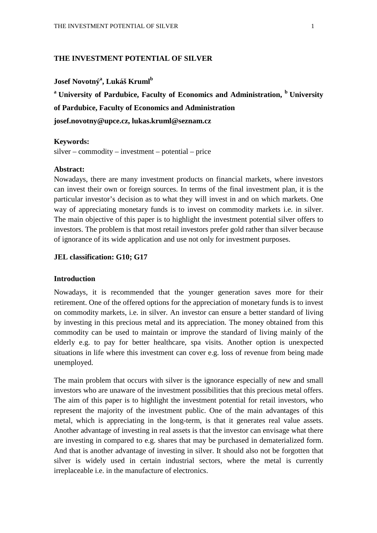### **THE INVESTMENT POTENTIAL OF SILVER**

# **Josef Novotný<sup>a</sup> , Lukáš Kruml<sup>b</sup>**

**<sup>a</sup>University of Pardubice, Faculty of Economics and Administration, <sup>b</sup>University of Pardubice, Faculty of Economics and Administration josef.novotny@upce.cz, lukas.kruml@seznam.cz** 

#### **Keywords:**

silver – commodity – investment – potential – price

### **Abstract:**

Nowadays, there are many investment products on financial markets, where investors can invest their own or foreign sources. In terms of the final investment plan, it is the particular investor's decision as to what they will invest in and on which markets. One way of appreciating monetary funds is to invest on commodity markets i.e. in silver. The main objective of this paper is to highlight the investment potential silver offers to investors. The problem is that most retail investors prefer gold rather than silver because of ignorance of its wide application and use not only for investment purposes.

### **JEL classification: G10; G17**

#### **Introduction**

Nowadays, it is recommended that the younger generation saves more for their retirement. One of the offered options for the appreciation of monetary funds is to invest on commodity markets, i.e. in silver. An investor can ensure a better standard of living by investing in this precious metal and its appreciation. The money obtained from this commodity can be used to maintain or improve the standard of living mainly of the elderly e.g. to pay for better healthcare, spa visits. Another option is unexpected situations in life where this investment can cover e.g. loss of revenue from being made unemployed.

The main problem that occurs with silver is the ignorance especially of new and small investors who are unaware of the investment possibilities that this precious metal offers. The aim of this paper is to highlight the investment potential for retail investors, who represent the majority of the investment public. One of the main advantages of this metal, which is appreciating in the long-term, is that it generates real value assets. Another advantage of investing in real assets is that the investor can envisage what there are investing in compared to e.g. shares that may be purchased in dematerialized form. And that is another advantage of investing in silver. It should also not be forgotten that silver is widely used in certain industrial sectors, where the metal is currently irreplaceable i.e. in the manufacture of electronics.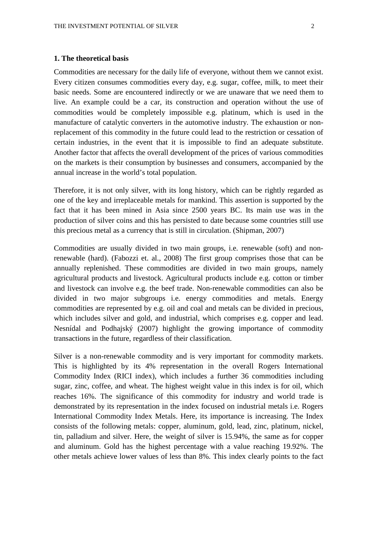### **1. The theoretical basis**

Commodities are necessary for the daily life of everyone, without them we cannot exist. Every citizen consumes commodities every day, e.g. sugar, coffee, milk, to meet their basic needs. Some are encountered indirectly or we are unaware that we need them to live. An example could be a car, its construction and operation without the use of commodities would be completely impossible e.g. platinum, which is used in the manufacture of catalytic converters in the automotive industry. The exhaustion or nonreplacement of this commodity in the future could lead to the restriction or cessation of certain industries, in the event that it is impossible to find an adequate substitute. Another factor that affects the overall development of the prices of various commodities on the markets is their consumption by businesses and consumers, accompanied by the annual increase in the world's total population.

Therefore, it is not only silver, with its long history, which can be rightly regarded as one of the key and irreplaceable metals for mankind. This assertion is supported by the fact that it has been mined in Asia since 2500 years BC. Its main use was in the production of silver coins and this has persisted to date because some countries still use this precious metal as a currency that is still in circulation. (Shipman, 2007)

Commodities are usually divided in two main groups, i.e. renewable (soft) and nonrenewable (hard). (Fabozzi et. al., 2008) The first group comprises those that can be annually replenished. These commodities are divided in two main groups, namely agricultural products and livestock. Agricultural products include e.g. cotton or timber and livestock can involve e.g. the beef trade. Non-renewable commodities can also be divided in two major subgroups i.e. energy commodities and metals. Energy commodities are represented by e.g. oil and coal and metals can be divided in precious, which includes silver and gold, and industrial, which comprises e.g. copper and lead. Nesnídal and Podhajský (2007) highlight the growing importance of commodity transactions in the future, regardless of their classification.

Silver is a non-renewable commodity and is very important for commodity markets. This is highlighted by its 4% representation in the overall Rogers International Commodity Index (RICI index), which includes a further 36 commodities including sugar, zinc, coffee, and wheat. The highest weight value in this index is for oil, which reaches 16%. The significance of this commodity for industry and world trade is demonstrated by its representation in the index focused on industrial metals i.e. Rogers International Commodity Index Metals. Here, its importance is increasing. The Index consists of the following metals: copper, aluminum, gold, lead, zinc, platinum, nickel, tin, palladium and silver. Here, the weight of silver is 15.94%, the same as for copper and aluminum. Gold has the highest percentage with a value reaching 19.92%. The other metals achieve lower values of less than 8%. This index clearly points to the fact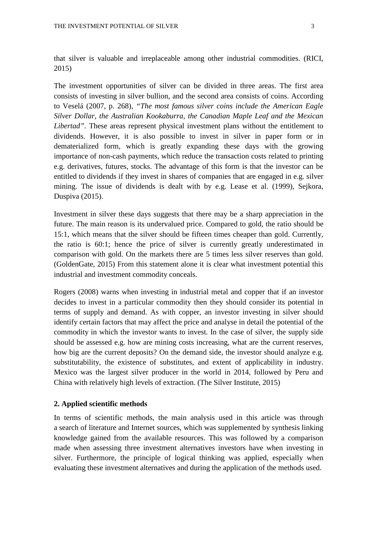that silver is valuable and irreplaceable among other industrial commodities. (RICI, 2015)

The investment opportunities of silver can be divided in three areas. The first area consists of investing in silver bullion, and the second area consists of coins. According to Veselá (2007, p. 268), *"The most famous silver coins include the American Eagle Silver Dollar, the Australian Kookaburra, the Canadian Maple Leaf and the Mexican Libertad".* These areas represent physical investment plans without the entitlement to dividends. However, it is also possible to invest in silver in paper form or in dematerialized form, which is greatly expanding these days with the growing importance of non-cash payments, which reduce the transaction costs related to printing e.g. derivatives, futures, stocks. The advantage of this form is that the investor can be entitled to dividends if they invest in shares of companies that are engaged in e.g. silver mining. The issue of dividends is dealt with by e.g. Lease et al. (1999), Sejkora, Duspiva (2015).

Investment in silver these days suggests that there may be a sharp appreciation in the future. The main reason is its undervalued price. Compared to gold, the ratio should be 15:1, which means that the silver should be fifteen times cheaper than gold. Currently, the ratio is 60:1; hence the price of silver is currently greatly underestimated in comparison with gold. On the markets there are 5 times less silver reserves than gold. (GoldenGate, 2015) From this statement alone it is clear what investment potential this industrial and investment commodity conceals.

Rogers (2008) warns when investing in industrial metal and copper that if an investor decides to invest in a particular commodity then they should consider its potential in terms of supply and demand. As with copper, an investor investing in silver should identify certain factors that may affect the price and analyse in detail the potential of the commodity in which the investor wants to invest. In the case of silver, the supply side should be assessed e.g. how are mining costs increasing, what are the current reserves, how big are the current deposits? On the demand side, the investor should analyze e.g. substitutability, the existence of substitutes, and extent of applicability in industry. Mexico was the largest silver producer in the world in 2014, followed by Peru and China with relatively high levels of extraction. (The Silver Institute, 2015)

# **2. Applied scientific methods**

In terms of scientific methods, the main analysis used in this article was through a search of literature and Internet sources, which was supplemented by synthesis linking knowledge gained from the available resources. This was followed by a comparison made when assessing three investment alternatives investors have when investing in silver. Furthermore, the principle of logical thinking was applied, especially when evaluating these investment alternatives and during the application of the methods used.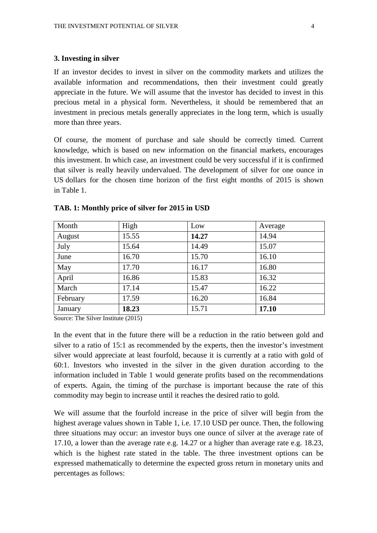### **3. Investing in silver**

If an investor decides to invest in silver on the commodity markets and utilizes the available information and recommendations, then their investment could greatly appreciate in the future. We will assume that the investor has decided to invest in this precious metal in a physical form. Nevertheless, it should be remembered that an investment in precious metals generally appreciates in the long term, which is usually more than three years.

Of course, the moment of purchase and sale should be correctly timed. Current knowledge, which is based on new information on the financial markets, encourages this investment. In which case, an investment could be very successful if it is confirmed that silver is really heavily undervalued. The development of silver for one ounce in US dollars for the chosen time horizon of the first eight months of 2015 is shown in Table 1.

| Month    | High  | Low   | Average |
|----------|-------|-------|---------|
| August   | 15.55 | 14.27 | 14.94   |
| July     | 15.64 | 14.49 | 15.07   |
| June     | 16.70 | 15.70 | 16.10   |
| May      | 17.70 | 16.17 | 16.80   |
| April    | 16.86 | 15.83 | 16.32   |
| March    | 17.14 | 15.47 | 16.22   |
| February | 17.59 | 16.20 | 16.84   |
| January  | 18.23 | 15.71 | 17.10   |

### **TAB. 1: Monthly price of silver for 2015 in USD**

Source: The Silver Institute (2015)

In the event that in the future there will be a reduction in the ratio between gold and silver to a ratio of 15:1 as recommended by the experts, then the investor's investment silver would appreciate at least fourfold, because it is currently at a ratio with gold of 60:1. Investors who invested in the silver in the given duration according to the information included in Table 1 would generate profits based on the recommendations of experts. Again, the timing of the purchase is important because the rate of this commodity may begin to increase until it reaches the desired ratio to gold.

We will assume that the fourfold increase in the price of silver will begin from the highest average values shown in Table 1, i.e. 17.10 USD per ounce. Then, the following three situations may occur: an investor buys one ounce of silver at the average rate of 17.10, a lower than the average rate e.g. 14.27 or a higher than average rate e.g. 18.23, which is the highest rate stated in the table. The three investment options can be expressed mathematically to determine the expected gross return in monetary units and percentages as follows: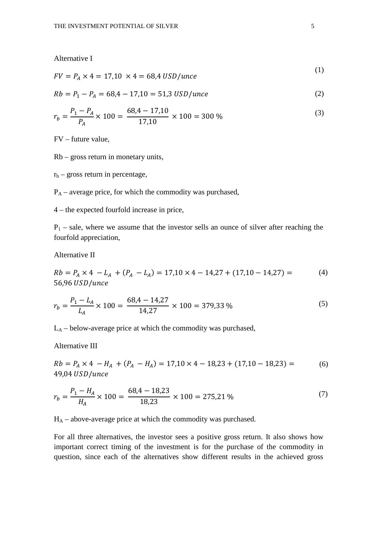Alternative I

$$
FV = P_A \times 4 = 17,10 \times 4 = 68,4 \text{ USD/unce}
$$
 (1)

$$
Rb = P_1 - P_A = 68.4 - 17.10 = 51.3 \text{ USD/unce}
$$
 (2)

$$
r_b = \frac{P_1 - P_A}{P_A} \times 100 = \frac{68,4 - 17,10}{17,10} \times 100 = 300\,\%
$$
\n<sup>(3)</sup>

FV – future value,

Rb – gross return in monetary units,

 $r_b$  – gross return in percentage,

 $P_A$  – average price, for which the commodity was purchased,

4 – the expected fourfold increase in price,

 $P_1$  – sale, where we assume that the investor sells an ounce of silver after reaching the fourfold appreciation,

Alternative II

$$
Rb = P_A \times 4 - L_A + (P_A - L_A) = 17,10 \times 4 - 14,27 + (17,10 - 14,27) = (4)
$$
  
56,96 *USD*/*unc*e

$$
r_b = \frac{P_1 - L_A}{L_A} \times 100 = \frac{68.4 - 14.27}{14.27} \times 100 = 379.33\,\%
$$
\n<sup>(5)</sup>

 $L_A$  – below-average price at which the commodity was purchased,

Alternative III

$$
Rb = P_A \times 4 - H_A + (P_A - H_A) = 17,10 \times 4 - 18,23 + (17,10 - 18,23) =
$$
  
49,04 *USD*/*unc*e (6)

$$
r_b = \frac{P_1 - H_A}{H_A} \times 100 = \frac{68,4 - 18,23}{18,23} \times 100 = 275,21\,\%
$$
\n<sup>(7)</sup>

 $H_A$  – above-average price at which the commodity was purchased.

For all three alternatives, the investor sees a positive gross return. It also shows how important correct timing of the investment is for the purchase of the commodity in question, since each of the alternatives show different results in the achieved gross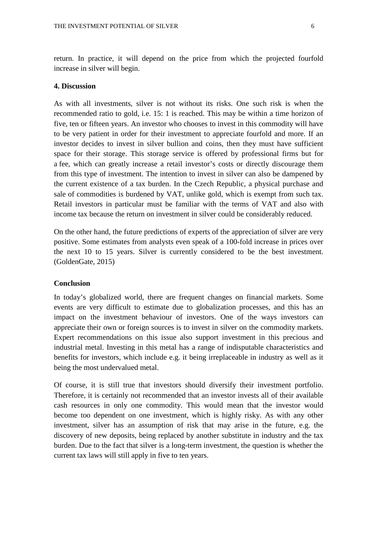return. In practice, it will depend on the price from which the projected fourfold increase in silver will begin.

### **4. Discussion**

As with all investments, silver is not without its risks. One such risk is when the recommended ratio to gold, i.e. 15: 1 is reached. This may be within a time horizon of five, ten or fifteen years. An investor who chooses to invest in this commodity will have to be very patient in order for their investment to appreciate fourfold and more. If an investor decides to invest in silver bullion and coins, then they must have sufficient space for their storage. This storage service is offered by professional firms but for a fee, which can greatly increase a retail investor's costs or directly discourage them from this type of investment. The intention to invest in silver can also be dampened by the current existence of a tax burden. In the Czech Republic, a physical purchase and sale of commodities is burdened by VAT, unlike gold, which is exempt from such tax. Retail investors in particular must be familiar with the terms of VAT and also with income tax because the return on investment in silver could be considerably reduced.

On the other hand, the future predictions of experts of the appreciation of silver are very positive. Some estimates from analysts even speak of a 100-fold increase in prices over the next 10 to 15 years. Silver is currently considered to be the best investment. (GoldenGate, 2015)

# **Conclusion**

In today's globalized world, there are frequent changes on financial markets. Some events are very difficult to estimate due to globalization processes, and this has an impact on the investment behaviour of investors. One of the ways investors can appreciate their own or foreign sources is to invest in silver on the commodity markets. Expert recommendations on this issue also support investment in this precious and industrial metal. Investing in this metal has a range of indisputable characteristics and benefits for investors, which include e.g. it being irreplaceable in industry as well as it being the most undervalued metal.

Of course, it is still true that investors should diversify their investment portfolio. Therefore, it is certainly not recommended that an investor invests all of their available cash resources in only one commodity. This would mean that the investor would become too dependent on one investment, which is highly risky. As with any other investment, silver has an assumption of risk that may arise in the future, e.g. the discovery of new deposits, being replaced by another substitute in industry and the tax burden. Due to the fact that silver is a long-term investment, the question is whether the current tax laws will still apply in five to ten years.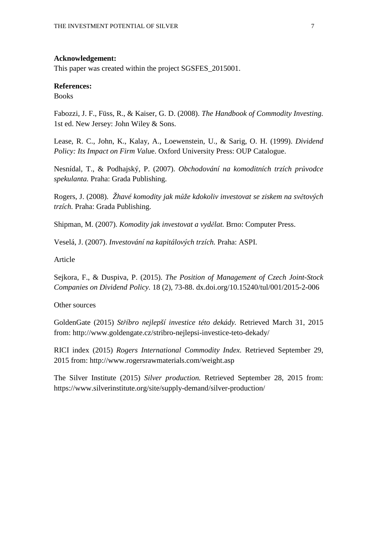### **Acknowledgement:**

This paper was created within the project SGSFES\_2015001.

### **References:**

**Books** 

Fabozzi, J. F., Füss, R., & Kaiser, G. D. (2008). *The Handbook of Commodity Investing.* 1st ed. New Jersey: John Wiley & Sons.

Lease, R. C., John, K., Kalay, A., Loewenstein, U., & Sarig, O. H. (1999). *Dividend Policy: Its Impact on Firm Valu*e. Oxford University Press: OUP Catalogue.

Nesnídal, T., & Podhajský, P. (2007). *Obchodování na komoditních trzích průvodce spekulanta.* Praha: Grada Publishing.

Rogers, J. (2008). *Žhavé komodity jak může kdokoliv investovat se ziskem na světových trzích.* Praha: Grada Publishing.

Shipman, M. (2007). *Komodity jak investovat a vydělat.* Brno: Computer Press.

Veselá, J. (2007). *Investování na kapitálových trzích.* Praha: ASPI.

Article

Sejkora, F., & Duspiva, P. (2015). *The Position of Management of Czech Joint-Stock Companies on Dividend Policy.* 18 (2), 73-88. dx.doi.org/10.15240/tul/001/2015-2-006

Other sources

GoldenGate (2015) *Stříbro nejlepší investice této dekády.* Retrieved March 31, 2015 from: http://www.goldengate.cz/stribro-nejlepsi-investice-teto-dekady/

RICI index (2015) *Rogers International Commodity Index.* Retrieved September 29, 2015 from: http://www.rogersrawmaterials.com/weight.asp

The Silver Institute (2015) *Silver production.* Retrieved September 28, 2015 from: https://www.silverinstitute.org/site/supply-demand/silver-production/